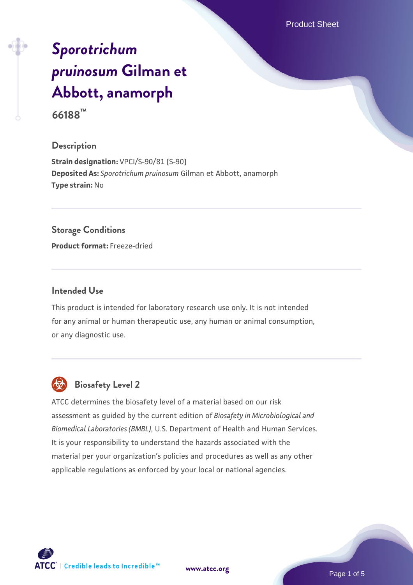Product Sheet

# *[Sporotrichum](https://www.atcc.org/products/66188) [pruinosum](https://www.atcc.org/products/66188)* **[Gilman et](https://www.atcc.org/products/66188) [Abbott, anamorph](https://www.atcc.org/products/66188) 66188™**

# **Description**

**Strain designation:** VPCI/S-90/81 [S-90] **Deposited As:** *Sporotrichum pruinosum* Gilman et Abbott, anamorph **Type strain:** No

#### **Storage Conditions**

**Product format:** Freeze-dried

# **Intended Use**

This product is intended for laboratory research use only. It is not intended for any animal or human therapeutic use, any human or animal consumption, or any diagnostic use.



# **Biosafety Level 2**

ATCC determines the biosafety level of a material based on our risk assessment as guided by the current edition of *Biosafety in Microbiological and Biomedical Laboratories (BMBL)*, U.S. Department of Health and Human Services. It is your responsibility to understand the hazards associated with the material per your organization's policies and procedures as well as any other applicable regulations as enforced by your local or national agencies.

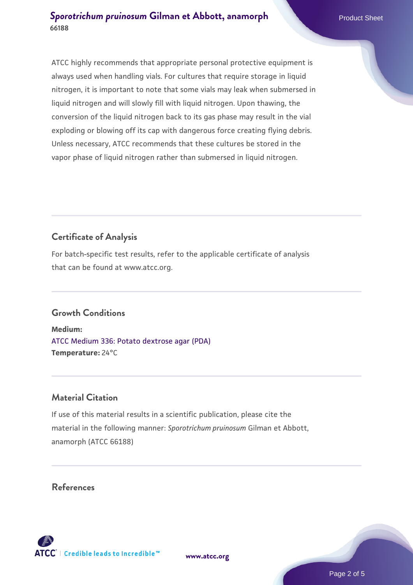ATCC highly recommends that appropriate personal protective equipment is always used when handling vials. For cultures that require storage in liquid nitrogen, it is important to note that some vials may leak when submersed in liquid nitrogen and will slowly fill with liquid nitrogen. Upon thawing, the conversion of the liquid nitrogen back to its gas phase may result in the vial exploding or blowing off its cap with dangerous force creating flying debris. Unless necessary, ATCC recommends that these cultures be stored in the vapor phase of liquid nitrogen rather than submersed in liquid nitrogen.

# **Certificate of Analysis**

For batch-specific test results, refer to the applicable certificate of analysis that can be found at www.atcc.org.

# **Growth Conditions**

**Medium:**  [ATCC Medium 336: Potato dextrose agar \(PDA\)](https://www.atcc.org/-/media/product-assets/documents/microbial-media-formulations/3/3/6/atcc-medium-336.pdf?rev=d9160ad44d934cd8b65175461abbf3b9) **Temperature:** 24°C

# **Material Citation**

If use of this material results in a scientific publication, please cite the material in the following manner: *Sporotrichum pruinosum* Gilman et Abbott, anamorph (ATCC 66188)

# **References**



**[www.atcc.org](http://www.atcc.org)**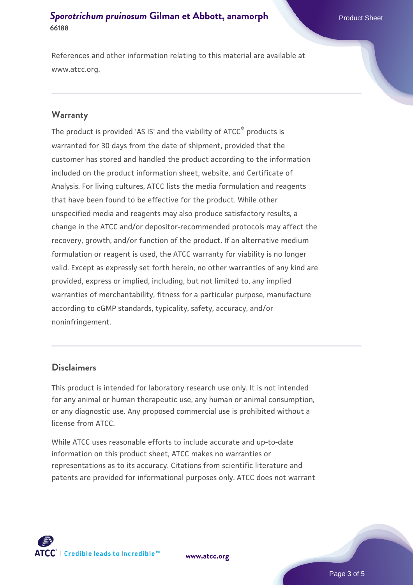References and other information relating to this material are available at www.atcc.org.

## **Warranty**

The product is provided 'AS IS' and the viability of ATCC® products is warranted for 30 days from the date of shipment, provided that the customer has stored and handled the product according to the information included on the product information sheet, website, and Certificate of Analysis. For living cultures, ATCC lists the media formulation and reagents that have been found to be effective for the product. While other unspecified media and reagents may also produce satisfactory results, a change in the ATCC and/or depositor-recommended protocols may affect the recovery, growth, and/or function of the product. If an alternative medium formulation or reagent is used, the ATCC warranty for viability is no longer valid. Except as expressly set forth herein, no other warranties of any kind are provided, express or implied, including, but not limited to, any implied warranties of merchantability, fitness for a particular purpose, manufacture according to cGMP standards, typicality, safety, accuracy, and/or noninfringement.

#### **Disclaimers**

This product is intended for laboratory research use only. It is not intended for any animal or human therapeutic use, any human or animal consumption, or any diagnostic use. Any proposed commercial use is prohibited without a license from ATCC.

While ATCC uses reasonable efforts to include accurate and up-to-date information on this product sheet, ATCC makes no warranties or representations as to its accuracy. Citations from scientific literature and patents are provided for informational purposes only. ATCC does not warrant

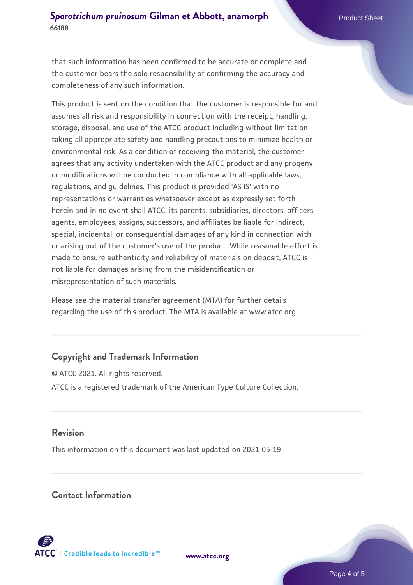that such information has been confirmed to be accurate or complete and the customer bears the sole responsibility of confirming the accuracy and completeness of any such information.

This product is sent on the condition that the customer is responsible for and assumes all risk and responsibility in connection with the receipt, handling, storage, disposal, and use of the ATCC product including without limitation taking all appropriate safety and handling precautions to minimize health or environmental risk. As a condition of receiving the material, the customer agrees that any activity undertaken with the ATCC product and any progeny or modifications will be conducted in compliance with all applicable laws, regulations, and guidelines. This product is provided 'AS IS' with no representations or warranties whatsoever except as expressly set forth herein and in no event shall ATCC, its parents, subsidiaries, directors, officers, agents, employees, assigns, successors, and affiliates be liable for indirect, special, incidental, or consequential damages of any kind in connection with or arising out of the customer's use of the product. While reasonable effort is made to ensure authenticity and reliability of materials on deposit, ATCC is not liable for damages arising from the misidentification or misrepresentation of such materials.

Please see the material transfer agreement (MTA) for further details regarding the use of this product. The MTA is available at www.atcc.org.

# **Copyright and Trademark Information**

© ATCC 2021. All rights reserved. ATCC is a registered trademark of the American Type Culture Collection.

# **Revision**

This information on this document was last updated on 2021-05-19

# **Contact Information**



**[www.atcc.org](http://www.atcc.org)**